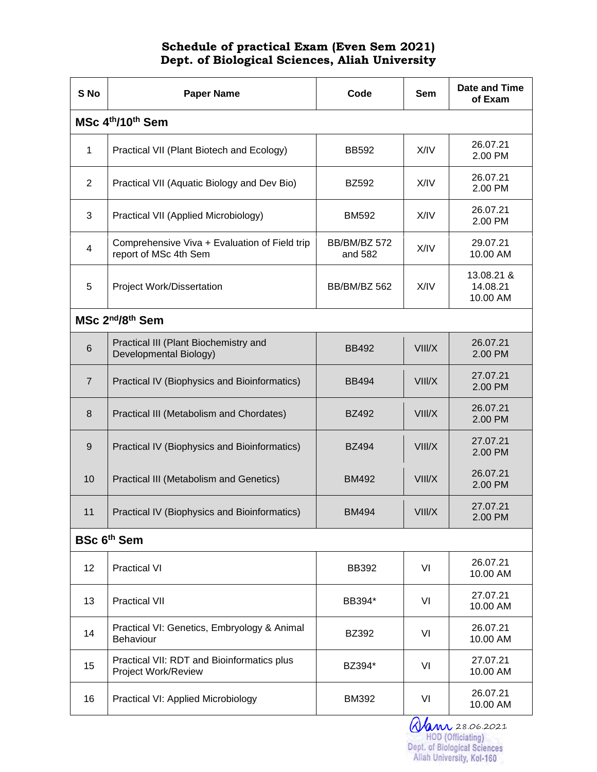## Schedule of practical Exam (Even Sem 2021) Dept. of Biological Sciences, Aliah University

| S No                                     | <b>Paper Name</b>                                                      | Code                    | <b>Sem</b> | <b>Date and Time</b><br>of Exam    |  |  |
|------------------------------------------|------------------------------------------------------------------------|-------------------------|------------|------------------------------------|--|--|
| MSc 4th/10th Sem                         |                                                                        |                         |            |                                    |  |  |
| 1                                        | Practical VII (Plant Biotech and Ecology)                              | <b>BB592</b>            | X/IV       | 26.07.21<br>2.00 PM                |  |  |
| 2                                        | Practical VII (Aquatic Biology and Dev Bio)                            | <b>BZ592</b>            | X/IV       | 26.07.21<br>2.00 PM                |  |  |
| 3                                        | Practical VII (Applied Microbiology)                                   | <b>BM592</b>            | X/IV       | 26.07.21<br>2.00 PM                |  |  |
| $\overline{4}$                           | Comprehensive Viva + Evaluation of Field trip<br>report of MSc 4th Sem | BB/BM/BZ 572<br>and 582 | X/IV       | 29.07.21<br>10.00 AM               |  |  |
| 5                                        | Project Work/Dissertation                                              | BB/BM/BZ 562            | X/IV       | 13.08.21 &<br>14.08.21<br>10.00 AM |  |  |
| MSc 2 <sup>nd</sup> /8 <sup>th</sup> Sem |                                                                        |                         |            |                                    |  |  |
| $6\phantom{1}$                           | Practical III (Plant Biochemistry and<br>Developmental Biology)        | <b>BB492</b>            | VIII/X     | 26.07.21<br>2.00 PM                |  |  |
| $\overline{7}$                           | Practical IV (Biophysics and Bioinformatics)                           | <b>BB494</b>            | VIII/X     | 27.07.21<br>2.00 PM                |  |  |
| 8                                        | Practical III (Metabolism and Chordates)                               | <b>BZ492</b>            | VIII/X     | 26.07.21<br>2.00 PM                |  |  |
| 9                                        | Practical IV (Biophysics and Bioinformatics)                           | <b>BZ494</b>            | VIII/X     | 27.07.21<br>2.00 PM                |  |  |
| 10                                       | Practical III (Metabolism and Genetics)                                | <b>BM492</b>            | VIII/X     | 26.07.21<br>2.00 PM                |  |  |
| 11                                       | Practical IV (Biophysics and Bioinformatics)                           | <b>BM494</b>            | VIII/X     | 27.07.21<br>2.00 PM                |  |  |
| <b>BSc 6th Sem</b>                       |                                                                        |                         |            |                                    |  |  |
| 12                                       | <b>Practical VI</b>                                                    | <b>BB392</b>            | VI         | 26.07.21<br>10.00 AM               |  |  |
| 13                                       | <b>Practical VII</b>                                                   | BB394*                  | VI         | 27.07.21<br>10.00 AM               |  |  |
| 14                                       | Practical VI: Genetics, Embryology & Animal<br>Behaviour               | <b>BZ392</b>            | VI         | 26.07.21<br>10.00 AM               |  |  |
| 15                                       | Practical VII: RDT and Bioinformatics plus<br>Project Work/Review      | BZ394*                  | VI         | 27.07.21<br>10.00 AM               |  |  |
| 16                                       | Practical VI: Applied Microbiology                                     | <b>BM392</b>            | VI         | 26.07.21<br>10.00 AM               |  |  |

**Alm 28.06.2021**<br>HOD (Officiating)<br>Dept. of Biological Sciences<br>Aliah University, Kol-160